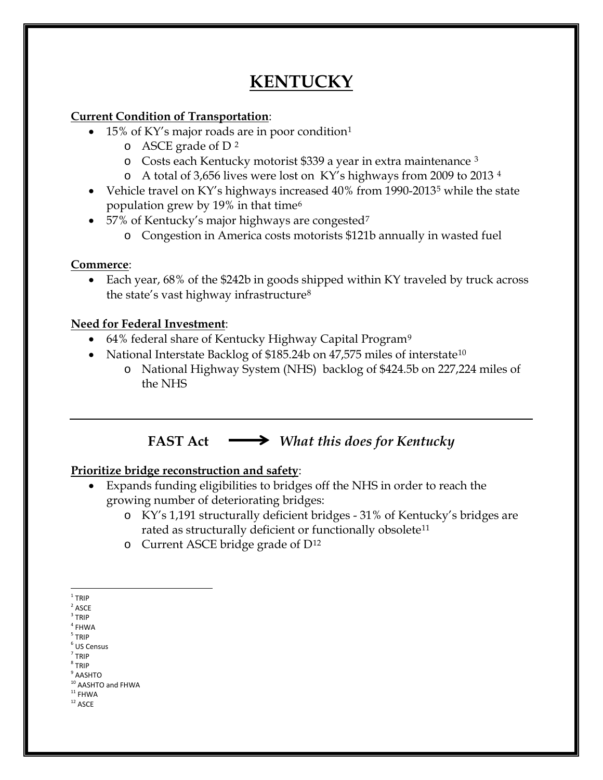# **KENTUCKY**

### **Current Condition of Transportation**:

- 15% of KY's major roads are in poor condition[1](#page-0-0)
	- $\circ$  ASCE grade of D<sup>[2](#page-0-1)</sup>
	- o Costs each Kentucky motorist \$339 a year in extra maintenance [3](#page-0-2)
	- o A total of 3,656 lives were lost on KY's highways from 2009 to 2013 [4](#page-0-3)
- Vehicle travel on KY's highways increased 40% from 1990-2013<sup>[5](#page-0-4)</sup> while the state population grew by 19% in that time[6](#page-0-5)
- 5[7](#page-0-6)% of Kentucky's major highways are congested<sup>7</sup>
	- o Congestion in America costs motorists \$121b annually in wasted fuel

### **Commerce**:

• Each year, 68% of the \$242b in goods shipped within KY traveled by truck across the state's vast highway infrastructure[8](#page-0-7)

### **Need for Federal Investment**:

- 64% federal share of Kentucky Highway Capital Program<sup>[9](#page-0-8)</sup>
- National Interstate Backlog of \$185.24b on 47,575 miles of interstate<sup>[10](#page-0-9)</sup>
	- o National Highway System (NHS) backlog of \$424.5b on 227,224 miles of the NHS

## **FAST Act** *What this does for Kentucky*

### **Prioritize bridge reconstruction and safety**:

- Expands funding eligibilities to bridges off the NHS in order to reach the growing number of deteriorating bridges:
	- o KY's 1,191 structurally deficient bridges 31% of Kentucky's bridges are rated as structurally deficient or functionally obsolete<sup>[11](#page-0-10)</sup>
	- o Current ASCE bridge grade of D[12](#page-0-11)

<span id="page-0-1"></span> $2$  ASCE

- $4$  FHWA
- <span id="page-0-5"></span><span id="page-0-4"></span><span id="page-0-3"></span><sup>5</sup> TRIP  $<sup>6</sup>$  US Census</sup>
- $<sup>7</sup>$  TRIP</sup>
- <span id="page-0-6"></span><sup>8</sup> TRIP

<span id="page-0-8"></span><span id="page-0-7"></span> $^9$  AASHTO

<span id="page-0-9"></span> $10$  AASHTO and FHWA<br> $11$  FHWA

- <span id="page-0-11"></span><span id="page-0-10"></span> $^{\rm 12}$  ASCE
	-

<span id="page-0-0"></span> $1$  TRIP

<span id="page-0-2"></span> $3$  TRIP